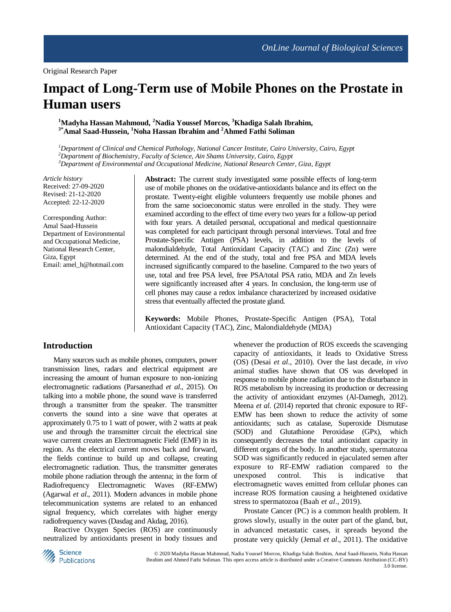# **Impact of Long-Term use of Mobile Phones on the Prostate in Human users**

**<sup>1</sup>Madyha Hassan Mahmoud, <sup>2</sup>Nadia Youssef Morcos, <sup>3</sup>Khadiga Salah Ibrahim, 3\*Amal Saad-Hussein, <sup>1</sup>Noha Hassan Ibrahim and <sup>2</sup>Ahmed Fathi Soliman**

*<sup>1</sup>Department of Clinical and Chemical Pathology, National Cancer Institute, Cairo University, Cairo, Egypt <sup>2</sup>Department of Biochemistry, Faculty of Science, Ain Shams University, Cairo, Egypt <sup>3</sup>Department of Environmental and Occupational Medicine, National Research Center, Giza, Egypt*

*Article history* Received: 27-09-2020 Revised: 21-12-2020 Accepted: 22-12-2020

Corresponding Author: Amal Saad-Hussein Department of Environmental and Occupational Medicine, National Research Center, Giza, Egypt Email: amel\_h@hotmail.com

**Abstract:** The current study investigated some possible effects of long-term use of mobile phones on the oxidative-antioxidants balance and its effect on the prostate. Twenty-eight eligible volunteers frequently use mobile phones and from the same socioeconomic status were enrolled in the study. They were examined according to the effect of time every two years for a follow-up period with four years. A detailed personal, occupational and medical questionnaire was completed for each participant through personal interviews. Total and free Prostate-Specific Antigen (PSA) levels, in addition to the levels of malondialdehyde, Total Antioxidant Capacity (TAC) and Zinc (Zn) were determined. At the end of the study, total and free PSA and MDA levels increased significantly compared to the baseline. Compared to the two years of use, total and free PSA level, free PSA/total PSA ratio, MDA and Zn levels were significantly increased after 4 years. In conclusion, the long-term use of cell phones may cause a redox imbalance characterized by increased oxidative stress that eventually affected the prostate gland.

**Keywords:** Mobile Phones, Prostate-Specific Antigen (PSA), Total Antioxidant Capacity (TAC), Zinc, Malondialdehyde (MDA)

## **Introduction**

Many sources such as mobile phones, computers, power transmission lines, radars and electrical equipment are increasing the amount of human exposure to non-ionizing electromagnetic radiations (Parsanezhad *et al*., 2015). On talking into a mobile phone, the sound wave is transferred through a transmitter from the speaker. The transmitter converts the sound into a sine wave that operates at approximately 0.75 to 1 watt of power, with 2 watts at peak use and through the transmitter circuit the electrical sine wave current creates an Electromagnetic Field (EMF) in its region. As the electrical current moves back and forward, the fields continue to build up and collapse, creating electromagnetic radiation. Thus, the transmitter generates mobile phone radiation through the antenna; in the form of Radiofrequency Electromagnetic Waves (RF-EMW) (Agarwal *et al*., 2011). Modern advances in mobile phone telecommunication systems are related to an enhanced signal frequency, which correlates with higher energy radiofrequency waves (Dasdag and Akdag, 2016).

Reactive Oxygen Species (ROS) are continuously neutralized by antioxidants present in body tissues and whenever the production of ROS exceeds the scavenging capacity of antioxidants, it leads to Oxidative Stress (OS) (Desai *et al*., 2010). Over the last decade, *in vivo* animal studies have shown that OS was developed in response to mobile phone radiation due to the disturbance in ROS metabolism by increasing its production or decreasing the activity of antioxidant enzymes (Al-Damegh, 2012). Meena *et al*. (2014) reported that chronic exposure to RF-EMW has been shown to reduce the activity of some antioxidants; such as catalase, Superoxide Dismutase (SOD) and Glutathione Peroxidase (GPx), which consequently decreases the total antioxidant capacity in different organs of the body. In another study, spermatozoa SOD was significantly reduced in ejaculated semen after exposure to RF-EMW radiation compared to the unexposed control. This is indicative that electromagnetic waves emitted from cellular phones can increase ROS formation causing a heightened oxidative stress to spermatozoa (Baah *et al*., 2019).

Prostate Cancer (PC) is a common health problem. It grows slowly, usually in the outer part of the gland, but, in advanced metastatic cases, it spreads beyond the prostate very quickly (Jemal *et al*., 2011). The oxidative

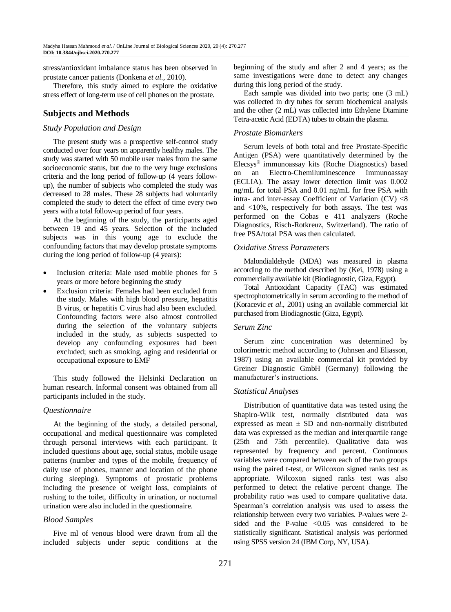stress/antioxidant imbalance status has been observed in prostate cancer patients (Donkena *et al*., 2010).

Therefore, this study aimed to explore the oxidative stress effect of long-term use of cell phones on the prostate.

# **Subjects and Methods**

#### *Study Population and Design*

The present study was a prospective self-control study conducted over four years on apparently healthy males. The study was started with 50 mobile user males from the same socioeconomic status, but due to the very huge exclusions criteria and the long period of follow-up (4 years followup), the number of subjects who completed the study was decreased to 28 males. These 28 subjects had voluntarily completed the study to detect the effect of time every two years with a total follow-up period of four years.

At the beginning of the study, the participants aged between 19 and 45 years. Selection of the included subjects was in this young age to exclude the confounding factors that may develop prostate symptoms during the long period of follow-up (4 years):

- Inclusion criteria: Male used mobile phones for 5 years or more before beginning the study
- Exclusion criteria: Females had been excluded from the study. Males with high blood pressure, hepatitis B virus, or hepatitis C virus had also been excluded. Confounding factors were also almost controlled during the selection of the voluntary subjects included in the study, as subjects suspected to develop any confounding exposures had been excluded; such as smoking, aging and residential or occupational exposure to EMF

This study followed the Helsinki Declaration on human research. Informal consent was obtained from all participants included in the study.

## *Questionnaire*

At the beginning of the study, a detailed personal, occupational and medical questionnaire was completed through personal interviews with each participant. It included questions about age, social status, mobile usage patterns (number and types of the mobile, frequency of daily use of phones, manner and location of the phone during sleeping). Symptoms of prostatic problems including the presence of weight loss, complaints of rushing to the toilet, difficulty in urination, or nocturnal urination were also included in the questionnaire.

## *Blood Samples*

Five ml of venous blood were drawn from all the included subjects under septic conditions at the beginning of the study and after 2 and 4 years; as the same investigations were done to detect any changes during this long period of the study.

Each sample was divided into two parts; one (3 mL) was collected in dry tubes for serum biochemical analysis and the other (2 mL) was collected into Ethylene Diamine Tetra-acetic Acid (EDTA) tubes to obtain the plasma.

### *Prostate Biomarkers*

Serum levels of both total and free Prostate-Specific Antigen (PSA) were quantitatively determined by the Elecsys® immunoassay kits (Roche Diagnostics) based on an Electro-Chemiluminescence Immunoassay (ECLIA). The assay lower detection limit was 0.002 ng/mL for total PSA and 0.01 ng/mL for free PSA with intra- and inter-assay Coefficient of Variation (CV) <8 and <10%, respectively for both assays. The test was performed on the Cobas e 411 analyzers (Roche Diagnostics, Risch-Rotkreuz, Switzerland). The ratio of free PSA/total PSA was then calculated.

#### *Oxidative Stress Parameters*

Malondialdehyde (MDA) was measured in plasma according to the method described by (Kei, 1978) using a commercially available kit (Biodiagnostic, Giza, Egypt).

Total Antioxidant Capacity (TAC) was estimated spectrophotometrically in serum according to the method of (Koracevic *et al*., 2001) using an available commercial kit purchased from Biodiagnostic (Giza, Egypt).

## *Serum Zinc*

Serum zinc concentration was determined by colorimetric method according to (Johnsen and Eliasson, 1987) using an available commercial kit provided by Greiner Diagnostic GmbH (Germany) following the manufacturer's instructions.

#### *Statistical Analyses*

Distribution of quantitative data was tested using the Shapiro-Wilk test, normally distributed data was expressed as mean  $\pm$  SD and non-normally distributed data was expressed as the median and interquartile range (25th and 75th percentile). Qualitative data was represented by frequency and percent. Continuous variables were compared between each of the two groups using the paired t-test, or Wilcoxon signed ranks test as appropriate. Wilcoxon signed ranks test was also performed to detect the relative percent change. The probability ratio was used to compare qualitative data. Spearman's correlation analysis was used to assess the relationship between every two variables. P-values were 2 sided and the P-value  $\leq 0.05$  was considered to be statistically significant. Statistical analysis was performed using SPSS version 24 (IBM Corp, NY, USA).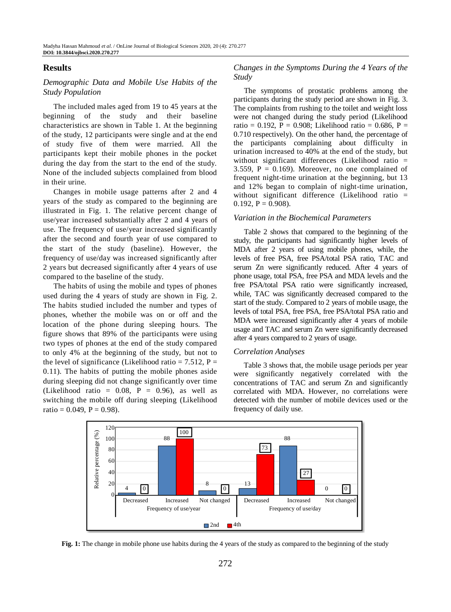## **Results**

## *Demographic Data and Mobile Use Habits of the Study Population*

The included males aged from 19 to 45 years at the beginning of the study and their baseline characteristics are shown in Table 1. At the beginning of the study, 12 participants were single and at the end of study five of them were married. All the participants kept their mobile phones in the pocket during the day from the start to the end of the study. None of the included subjects complained from blood in their urine.

Changes in mobile usage patterns after 2 and 4 years of the study as compared to the beginning are illustrated in Fig. 1. The relative percent change of use/year increased substantially after 2 and 4 years of use. The frequency of use/year increased significantly after the second and fourth year of use compared to the start of the study (baseline). However, the frequency of use/day was increased significantly after 2 years but decreased significantly after 4 years of use compared to the baseline of the study.

The habits of using the mobile and types of phones used during the 4 years of study are shown in Fig. 2. The habits studied included the number and types of phones, whether the mobile was on or off and the location of the phone during sleeping hours. The figure shows that 89% of the participants were using two types of phones at the end of the study compared to only 4% at the beginning of the study, but not to the level of significance (Likelihood ratio =  $7.512$ , P = 0.11). The habits of putting the mobile phones aside during sleeping did not change significantly over time (Likelihood ratio =  $0.08$ ,  $P = 0.96$ ), as well as switching the mobile off during sleeping (Likelihood ratio =  $0.049$ ,  $P = 0.98$ ).

### *Changes in the Symptoms During the 4 Years of the Study*

The symptoms of prostatic problems among the participants during the study period are shown in Fig. 3. The complaints from rushing to the toilet and weight loss were not changed during the study period (Likelihood ratio = 0.192, P = 0.908; Likelihood ratio = 0.686, P = 0.710 respectively). On the other hand, the percentage of the participants complaining about difficulty in urination increased to 40% at the end of the study, but without significant differences (Likelihood ratio = 3.559,  $P = 0.169$ ). Moreover, no one complained of frequent night-time urination at the beginning, but 13 and 12% began to complain of night-time urination, without significant difference (Likelihood ratio =  $0.192, P = 0.908$ .

#### *Variation in the Biochemical Parameters*

Table 2 shows that compared to the beginning of the study, the participants had significantly higher levels of MDA after 2 years of using mobile phones, while, the levels of free PSA, free PSA/total PSA ratio, TAC and serum Zn were significantly reduced. After 4 years of phone usage, total PSA, free PSA and MDA levels and the free PSA/total PSA ratio were significantly increased, while, TAC was significantly decreased compared to the start of the study. Compared to 2 years of mobile usage, the levels of total PSA, free PSA, free PSA/total PSA ratio and MDA were increased significantly after 4 years of mobile usage and TAC and serum Zn were significantly decreased after 4 years compared to 2 years of usage.

#### *Correlation Analyses*

Table 3 shows that, the mobile usage periods per year were significantly negatively correlated with the concentrations of TAC and serum Zn and significantly correlated with MDA. However, no correlations were detected with the number of mobile devices used or the frequency of daily use.



**Fig. 1:** The change in mobile phone use habits during the 4 years of the study as compared to the beginning of the study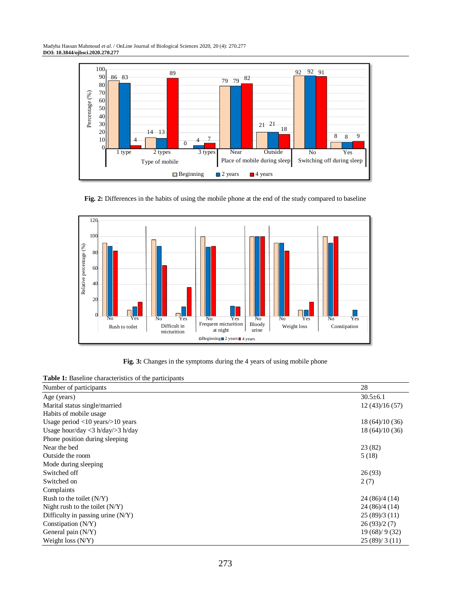Madyha Hassan Mahmoud *et al*. / OnLine Journal of Biological Sciences 2020, 20 (4): 270.277 **DOI: 10.3844/ojbsci.2020.270.277**



**Fig. 2:** Differences in the habits of using the mobile phone at the end of the study compared to baseline



**Fig. 3:** Changes in the symptoms during the 4 years of using mobile phone

**Table 1:** Baseline characteristics of the participants

| Number of participants                  | 28              |
|-----------------------------------------|-----------------|
| Age (years)                             | $30.5 \pm 6.1$  |
| Marital status single/married           | 12(43)/16(57)   |
| Habits of mobile usage                  |                 |
| Usage period $<$ 10 years $/$ >10 years | 18 (64)/10 (36) |
| Usage hour/day $<$ 3 h/day/ $>$ 3 h/day | 18(64)/10(36)   |
| Phone position during sleeping          |                 |
| Near the bed                            | 23(82)          |
| Outside the room                        | 5(18)           |
| Mode during sleeping                    |                 |
| Switched off                            | 26(93)          |
| Switched on                             | 2(7)            |
| Complaints                              |                 |
| Rush to the toilet $(N/Y)$              | 24(86)/4(14)    |
| Night rush to the toilet $(N/Y)$        | 24 (86)/4 (14)  |
| Difficulty in passing urine $(N/Y)$     | 25(89)/3(11)    |
| Constipation $(N/Y)$                    | 26(93)/2(7)     |
| General pain $(N/Y)$                    | 19(68)/9(32)    |
| Weight loss $(N/Y)$                     | 25(89)/3(11)    |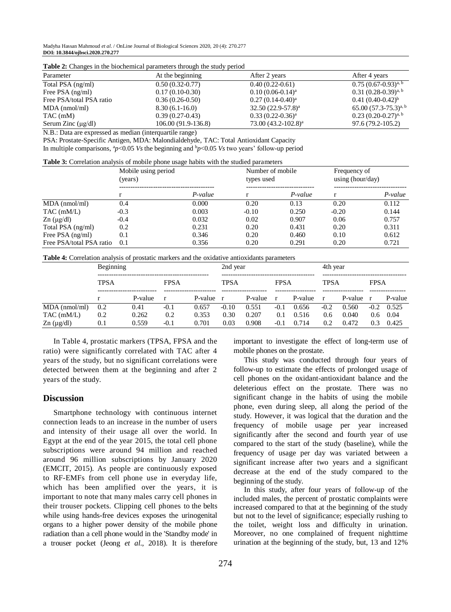Madyha Hassan Mahmoud *et al*. / OnLine Journal of Biological Sciences 2020, 20 (4): 270.277 **DOI: 10.3844/ojbsci.2020.270.277**

| Parameter                | At the beginning    | After 2 years         | After 4 years             |  |  |  |  |  |  |
|--------------------------|---------------------|-----------------------|---------------------------|--|--|--|--|--|--|
| Total PSA (ng/ml)        | $0.50(0.32-0.77)$   | $0.40(0.22-0.61)$     | $0.75(0.67-0.93)^{a, b}$  |  |  |  |  |  |  |
| Free PSA $(ng/ml)$       | $0.17(0.10-0.30)$   | $0.10(0.06-0.14)^{a}$ | $0.31(0.28-0.39)^{a, b}$  |  |  |  |  |  |  |
| Free PSA/total PSA ratio | $0.36(0.26-0.50)$   | $0.27(0.14-0.40)^{a}$ | $0.41(0.40-0.42)^{b}$     |  |  |  |  |  |  |
| $MDA$ (nmol/ml)          | $8.30(6.1-16.0)$    | $32.50(22.9-57.8)^a$  | $65.00(57.3-75.3)^{a, b}$ |  |  |  |  |  |  |
| TAC (mM)                 | $0.39(0.27-0.43)$   | $0.33(0.22-0.36)^{a}$ | $0.23(0.20-0.27)^{a, b}$  |  |  |  |  |  |  |
| Serum Zinc $(\mu g/dl)$  | 106.00 (91.9-136.8) | $73.00(43.2-102.8)^a$ | 97.6 (79.2-105.2)         |  |  |  |  |  |  |

**Table 2:** Changes in the biochemical parameters through the study period

N.B.: Data are expressed as median (interquartile range)

PSA: Prostate-Specific Antigen, MDA: Malondialdehyde, TAC: Total Antioxidant Capacity In multiple comparisons,  ${}^{a}p<0.05$  *Vs* the beginning and  $bp<0.05$  *Vs* two years' follow-up period

| <b>Table 3:</b> Correlation analysis of mobile phone usage habits with the studied parameters |  |  |
|-----------------------------------------------------------------------------------------------|--|--|
|                                                                                               |  |  |

|                                   | Mobile using period<br>(years) |         | Number of mobile<br>types used |           | Frequency of<br>using (hour/day) |         |
|-----------------------------------|--------------------------------|---------|--------------------------------|-----------|----------------------------------|---------|
|                                   |                                | P-value |                                | $P-value$ |                                  | P-value |
| $MDA$ (nmol/ml)                   | 0.4                            | 0.000   | 0.20                           | 0.13      | 0.20                             | 0.112   |
| $TAC$ (mM/L)                      | $-0.3$                         | 0.003   | $-0.10$                        | 0.250     | $-0.20$                          | 0.144   |
| $\text{Zn}$ ( $\mu \text{g/dl}$ ) | $-0.4$                         | 0.032   | 0.02                           | 0.907     | 0.06                             | 0.757   |
| Total PSA (ng/ml)                 | 0.2                            | 0.231   | 0.20                           | 0.431     | 0.20                             | 0.311   |
| Free PSA $(ng/ml)$                | 0.1                            | 0.346   | 0.20                           | 0.460     | 0.10                             | 0.612   |
| Free PSA/total PSA ratio          | 0.1                            | 0.356   | 0.20                           | 0.291     | 0.20                             | 0.721   |

**Table 4:** Correlation analysis of prostatic markers and the oxidative antioxidants parameters

|                     | Beginning   |         |             |           | 2nd year |         |              |         | 4th year     |           |             |         |
|---------------------|-------------|---------|-------------|-----------|----------|---------|--------------|---------|--------------|-----------|-------------|---------|
|                     | <b>TPSA</b> |         | <b>FPSA</b> |           | TPSA     |         | <b>FPSA</b>  |         | <b>TPSA</b>  |           | <b>FPSA</b> |         |
|                     |             | P-value |             | P-value r |          | P-value | $\mathbf{r}$ | P-value | $\mathbf{r}$ | P-value r |             | P-value |
| $MDA$ (nmol/ml)     | 0.2         | 0.41    | $-0.1$      | 0.657     | $-0.10$  | 0.551   | $-0.1$       | 0.656   | $-0.2$       | 0.560     | $-0.2$      | 0.525   |
| $TAC$ (mM/L)        | 0.2         | 0.262   | 0.2         | 0.353     | 0.30     | 0.207   | 0.1          | 0.516   | 0.6          | 0.040     | 0.6         | 0.04    |
| $\text{Zn}$ (µg/dl) | 0.1         | 0.559   | $-0.1$      | 0.701     | 0.03     | 0.908   | $-0.1$       | 0.714   | 0.2          | 0.472     | 0.3         | 0.425   |

In Table 4, prostatic markers (TPSA, FPSA and the ratio) were significantly correlated with TAC after 4 years of the study, but no significant correlations were detected between them at the beginning and after 2 years of the study.

#### **Discussion**

Smartphone technology with continuous internet connection leads to an increase in the number of users and intensity of their usage all over the world. In Egypt at the end of the year 2015, the total cell phone subscriptions were around 94 million and reached around 96 million subscriptions by January 2020 (EMCIT, 2015). As people are continuously exposed to RF-EMFs from cell phone use in everyday life, which has been amplified over the years, it is important to note that many males carry cell phones in their trouser pockets. Clipping cell phones to the belts while using hands-free devices exposes the urinogenital organs to a higher power density of the mobile phone radiation than a cell phone would in the 'Standby mode' in a trouser pocket (Jeong *et al*., 2018). It is therefore

important to investigate the effect of long-term use of mobile phones on the prostate.

This study was conducted through four years of follow-up to estimate the effects of prolonged usage of cell phones on the oxidant-antioxidant balance and the deleterious effect on the prostate. There was no significant change in the habits of using the mobile phone, even during sleep, all along the period of the study. However, it was logical that the duration and the frequency of mobile usage per year increased significantly after the second and fourth year of use compared to the start of the study (baseline), while the frequency of usage per day was variated between a significant increase after two years and a significant decrease at the end of the study compared to the beginning of the study.

In this study, after four years of follow-up of the included males, the percent of prostatic complaints were increased compared to that at the beginning of the study but not to the level of significance; especially rushing to the toilet, weight loss and difficulty in urination. Moreover, no one complained of frequent nighttime urination at the beginning of the study, but, 13 and 12%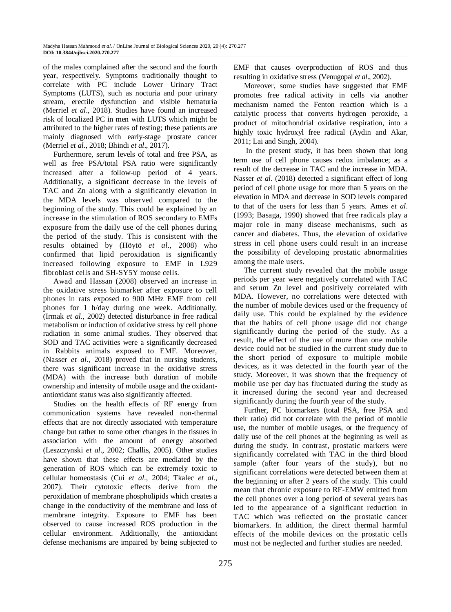of the males complained after the second and the fourth year, respectively. Symptoms traditionally thought to correlate with PC include Lower Urinary Tract Symptoms (LUTS), such as nocturia and poor urinary stream, erectile dysfunction and visible hematuria (Merriel *et al*., 2018). Studies have found an increased risk of localized PC in men with LUTS which might be attributed to the higher rates of testing; these patients are mainly diagnosed with early-stage prostate cancer (Merriel *et al*., 2018; Bhindi *et al*., 2017).

Furthermore, serum levels of total and free PSA, as well as free PSA/total PSA ratio were significantly increased after a follow-up period of 4 years. Additionally, a significant decrease in the levels of TAC and Zn along with a significantly elevation in the MDA levels was observed compared to the beginning of the study. This could be explained by an increase in the stimulation of ROS secondary to EMFs exposure from the daily use of the cell phones during the period of the study*.* This is consistent with the results obtained by (Höytö *et al*., 2008) who confirmed that lipid peroxidation is significantly increased following exposure to EMF in L929 fibroblast cells and SH-SY5Y mouse cells.

Awad and Hassan (2008) observed an increase in the oxidative stress biomarker after exposure to cell phones in rats exposed to 900 MHz EMF from cell phones for 1 h/day during one week. Additionally, (Irmak *et al*., 2002) detected disturbance in free radical metabolism or induction of oxidative stress by cell phone radiation in some animal studies. They observed that SOD and TAC activities were a significantly decreased in Rabbits animals exposed to EMF. Moreover, (Nasser *et al*., 2018) proved that in nursing students, there was significant increase in the oxidative stress (MDA) with the increase both duration of mobile ownership and intensity of mobile usage and the oxidantantioxidant status was also significantly affected.

Studies on the health effects of RF energy from communication systems have revealed non-thermal effects that are not directly associated with temperature change but rather to some other changes in the tissues in association with the amount of energy absorbed (Leszczynski *et al*., 2002; Challis, 2005). Other studies have shown that these effects are mediated by the generation of ROS which can be extremely toxic to cellular homeostasis (Cui *et al*., 2004; Tkalec *et al*., 2007). Their cytotoxic effects derive from the peroxidation of membrane phospholipids which creates a change in the conductivity of the membrane and loss of membrane integrity. Exposure to EMF has been observed to cause increased ROS production in the cellular environment. Additionally, the antioxidant defense mechanisms are impaired by being subjected to

EMF that causes overproduction of ROS and thus resulting in oxidative stress (Venugopal *et al*., 2002).

Moreover, some studies have suggested that EMF promotes free radical activity in cells via another mechanism named the Fenton reaction which is a catalytic process that converts hydrogen peroxide, a product of mitochondrial oxidative respiration, into a highly toxic hydroxyl free radical (Aydin and Akar, 2011; Lai and Singh, 2004).

In the present study, it has been shown that long term use of cell phone causes redox imbalance; as a result of the decrease in TAC and the increase in MDA. Nasser *et al*. (2018) detected a significant effect of long period of cell phone usage for more than 5 years on the elevation in MDA and decrease in SOD levels compared to that of the users for less than 5 years. Ames *et al*. (1993; Basaga, 1990) showed that free radicals play a major role in many disease mechanisms, such as cancer and diabetes. Thus, the elevation of oxidative stress in cell phone users could result in an increase the possibility of developing prostatic abnormalities among the male users.

The current study revealed that the mobile usage periods per year were negatively correlated with TAC and serum Zn level and positively correlated with MDA. However, no correlations were detected with the number of mobile devices used or the frequency of daily use. This could be explained by the evidence that the habits of cell phone usage did not change significantly during the period of the study. As a result, the effect of the use of more than one mobile device could not be studied in the current study due to the short period of exposure to multiple mobile devices, as it was detected in the fourth year of the study. Moreover, it was shown that the frequency of mobile use per day has fluctuated during the study as it increased during the second year and decreased significantly during the fourth year of the study.

Further, PC biomarkers (total PSA, free PSA and their ratio) did not correlate with the period of mobile use, the number of mobile usages, or the frequency of daily use of the cell phones at the beginning as well as during the study. In contrast, prostatic markers were significantly correlated with TAC in the third blood sample (after four years of the study), but no significant correlations were detected between them at the beginning or after 2 years of the study. This could mean that chronic exposure to RF-EMW emitted from the cell phones over a long period of several years has led to the appearance of a significant reduction in TAC which was reflected on the prostatic cancer biomarkers. In addition, the direct thermal harmful effects of the mobile devices on the prostatic cells must not be neglected and further studies are needed.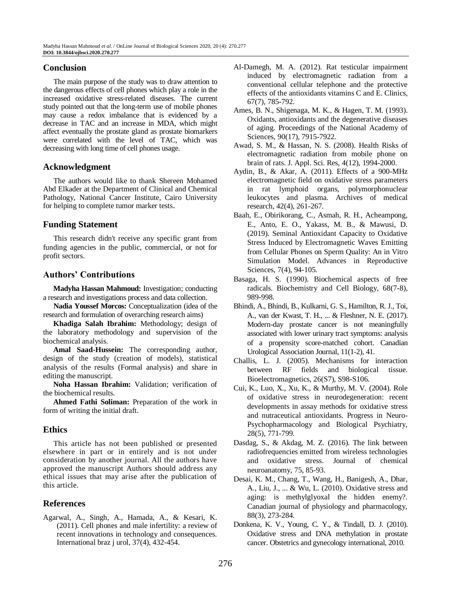## **Conclusion**

The main purpose of the study was to draw attention to the dangerous effects of cell phones which play a role in the increased oxidative stress-related diseases. The current study pointed out that the long-term use of mobile phones may cause a redox imbalance that is evidenced by a decrease in TAC and an increase in MDA, which might affect eventually the prostate gland as prostate biomarkers were correlated with the level of TAC, which was decreasing with long time of cell phones usage.

## **Acknowledgment**

The authors would like to thank Shereen Mohamed Abd Elkader at the Department of Clinical and Chemical Pathology, National Cancer Institute, Cairo University for helping to complete tumor marker tests.

## **Funding Statement**

This research didn't receive any specific grant from funding agencies in the public, commercial, or not for profit sectors.

# **Authors' Contributions**

**Madyha Hassan Mahmoud:** Investigation; conducting a research and investigations process and data collection.

**Nadia Youssef Morcos:** Conceptualization (idea of the research and formulation of overarching research aims)

**Khadiga Salah Ibrahim:** Methodology; design of the laboratory methodology and supervision of the biochemical analysis.

**Amal Saad-Hussein:** The corresponding author, design of the study (creation of models), statistical analysis of the results (Formal analysis) and share in editing the manuscript.

**Noha Hassan Ibrahim:** Validation; verification of the biochemical results.

**Ahmed Fathi Soliman:** Preparation of the work in form of writing the initial draft.

# **Ethics**

This article has not been published or presented elsewhere in part or in entirely and is not under consideration by another journal. All the authors have approved the manuscript Authors should address any ethical issues that may arise after the publication of this article.

# **References**

Agarwal, A., Singh, A., Hamada, A., & Kesari, K. (2011). Cell phones and male infertility: a review of recent innovations in technology and consequences. International braz j urol, 37(4), 432-454.

- Al-Damegh, M. A. (2012). Rat testicular impairment induced by electromagnetic radiation from a conventional cellular telephone and the protective effects of the antioxidants vitamins C and E. Clinics, 67(7), 785-792.
- Ames, B. N., Shigenaga, M. K., & Hagen, T. M. (1993). Oxidants, antioxidants and the degenerative diseases of aging. Proceedings of the National Academy of Sciences, 90(17), 7915-7922.
- Awad, S. M., & Hassan, N. S. (2008). Health Risks of electromagnetic radiation from mobile phone on brain of rats. J. Appl. Sci. Res, 4(12), 1994-2000.
- Aydin, B., & Akar, A. (2011). Effects of a 900-MHz electromagnetic field on oxidative stress parameters in rat lymphoid organs, polymorphonuclear leukocytes and plasma. Archives of medical research, 42(4), 261-267.
- Baah, E., Obirikorang, C., Asmah, R. H., Acheampong, E., Anto, E. O., Yakass, M. B., & Mawusi, D. (2019). Seminal Antioxidant Capacity to Oxidative Stress Induced by Electromagnetic Waves Emitting from Cellular Phones on Sperm Quality: An in Vitro Simulation Model. Advances in Reproductive Sciences, 7(4), 94-105.
- Basaga, H. S. (1990). Biochemical aspects of free radicals. Biochemistry and Cell Biology, 68(7-8), 989-998.
- Bhindi, A., Bhindi, B., Kulkarni, G. S., Hamilton, R. J., Toi, A., van der Kwast, T. H., ... & Fleshner, N. E. (2017). Modern-day prostate cancer is not meaningfully associated with lower urinary tract symptoms: analysis of a propensity score-matched cohort. Canadian Urological Association Journal, 11(1-2), 41.
- Challis, L. J. (2005). Mechanisms for interaction between RF fields and biological tissue. Bioelectromagnetics, 26(S7), S98-S106.
- Cui, K., Luo, X., Xu, K., & Murthy, M. V. (2004). Role of oxidative stress in neurodegeneration: recent developments in assay methods for oxidative stress and nutraceutical antioxidants. Progress in Neuro-Psychopharmacology and Biological Psychiatry, 28(5), 771-799.
- Dasdag, S., & Akdag, M. Z. (2016). The link between radiofrequencies emitted from wireless technologies and oxidative stress. Journal of chemical neuroanatomy, 75, 85-93.
- Desai, K. M., Chang, T., Wang, H., Banigesh, A., Dhar, A., Liu, J., ... & Wu, L. (2010). Oxidative stress and aging: is methylglyoxal the hidden enemy?. Canadian journal of physiology and pharmacology, 88(3), 273-284.
- Donkena, K. V., Young, C. Y., & Tindall, D. J. (2010). Oxidative stress and DNA methylation in prostate cancer. Obstetrics and gynecology international, 2010.